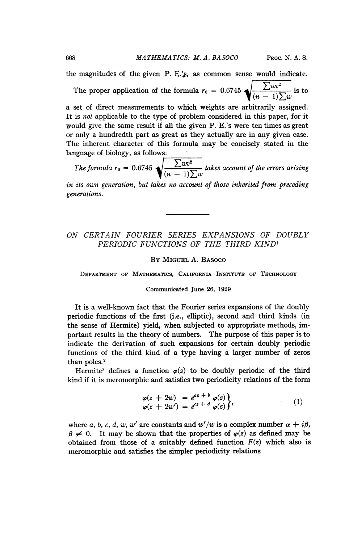the magnitudes of the given  $P$ . E.'s, as common sense would indicate.

The proper application of the formula  $r_0 = 0.6745 \sqrt{\frac{\sum w v^2}{(n-1)\sum w}}$  is to

a set of direct measurements to which weights are arbitrarily assigned. It is not applicable to the type of problem considered in this paper, for it would give the same result if all the given P. E.'s were ten times as great or only a hundredth part as great as they actually are in any given case. The inherent character of this formula may be concisely stated in the language of biology, as follows:

The formula  $r_0 = 0.6745 \sqrt{\frac{\sum w_0}{(n-1)\sum w}}$  takes account of the errors arising

in its own generation, but takes no account of those inherited from preceding generations.

# ON CERTAIN FOURIER SERIES EXPANSIONS OF DOUBLY PERIODIC FUNCTIONS OF THE THIRD KIND<sup>1</sup>

# BY MIGUEL A. BASOCO

DEPARTMENT OF MATHEMATICS, CALIFORNIA INSTITUTE or TECHNOLOGY

## Communicated June 26, 1929

It is a well-known fact that the Fourier series expansions of the doubly periodic functions of the first (i.e., elliptic), second and third kinds (in the sense of Hermite) yield, when subjected to appropriate methods, important results in the theory of numbers. The purpose of this paper is to indicate the derivation of such expansions for certain doubly periodic functions of the third kind of a type having a larger number of zeros than poles.<sup>2</sup>

Hermite<sup>3</sup> defines a function  $\varphi(z)$  to be doubly periodic of the third kind if it is meromorphic and satisfies two periodicity relations of the form

$$
\varphi(z + 2w) = e^{as + b} \varphi(z) \n\varphi(z + 2w') = e^{cs + d} \varphi(z) \},
$$
\n(1)

where a, b, c, d, w, w' are constants and  $w'/w$  is a complex number  $\alpha + i\beta$ ,  $\beta \neq 0$ . It may be shown that the properties of  $\varphi(z)$  as defined may be obtained from those of a suitably defined function  $F(z)$  which also is meromorphic and satisfies the simpler periodicity relations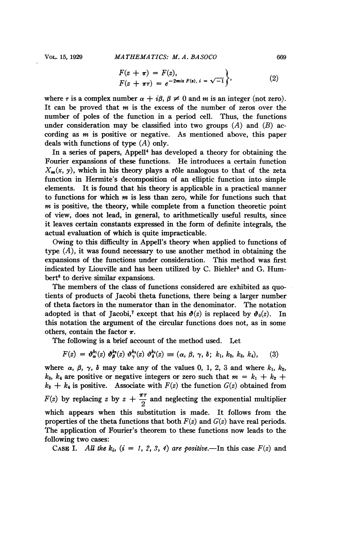$$
F(z + \pi) = F(z), F(z + \pi\tau) = e^{-2miz F(z), i} = \sqrt{-1}
$$
 (2)

where r is a complex number  $\alpha + i\beta$ ,  $\beta \neq 0$  and m is an integer (not zero). It can be proved that  $m$  is the excess of the number of zeros over the number of poles of the function in a period cell. Thus, the functions under consideration may be classified into two groups  $(A)$  and  $(B)$  according as  $m$  is positive or negative. As mentioned above, this paper deals with functions of type  $(A)$  only.

In a series of papers, Appell<sup>4</sup> has developed a theory for obtaining the Fourier expansions of these functions. He introduces a certain function  $X_m(x, y)$ , which in his theory plays a rôle analogous to that of the zeta function in Hermite's decomposition of an elliptic function into simple elements. It is found that his theory is applicable in a practical manner to functions for which  $m$  is less than zero, while for functions such that  $m$  is positive, the theory, while complete from a function theoretic point of view, does not lead, in general, to arithmetically useful results, since it leaves certain constants expressed in the form of definite integrals, the actual evaluation of which is quite impracticable.

Owing to this difficulty in Appell's theory when applied to functions of type  $(A)$ , it was found necessary to use another method in obtaining the expansions of the functions under consideration. This method was first indicated by Liouville and has been utilized by C. Biehler<sup>5</sup> and G. Humbert<sup>6</sup> to derive similar expansions.

The members of the class of functions considered are exhibited as quotients of products of Jacobi theta functions, there being a larger number of theta factors in the numerator than in the denominator. The notation adopted is that of Jacobi,<sup>7</sup> except that his  $\mathcal{O}(z)$  is replaced by  $\mathcal{O}_0(z)$ . In this notation the argument of the circular functions does not, as in some others, contain the factor  $\pi$ .

The following is a brief account of the method used. Let

$$
F(z) = \vartheta_{\alpha}^{k_1}(z) \vartheta_{\beta}^{k_2}(z) \vartheta_{\gamma}^{k_3}(z) \vartheta_{\delta}^{k_4}(z) \equiv (\alpha, \beta, \gamma, \delta; k_1, k_2, k_3, k_4), \quad (3)
$$

where  $\alpha$ ,  $\beta$ ,  $\gamma$ ,  $\delta$  may take any of the values 0, 1, 2, 3 and where  $k_1$ ,  $k_2$ ,  $k_3$ ,  $k_4$  are positive or negative integers or zero such that  $m = k_1 + k_2 + k_3$  $k_3 + k_4$  is positive. Associate with  $F(z)$  the function  $G(z)$  obtained from  $F(z)$  by replacing z by  $z + \frac{\pi \tau}{2}$  and neglecting the exponential multiplier which appears when this substitution is made. It follows from the properties of the theta functions that both  $F(z)$  and  $G(z)$  have real periods. The application of Fourier's theorem to these functions now leads to the following two cases:

CASE I. All the k<sub>i</sub>,  $(i = 1, 2, 3, 4)$  are positive.—In this case  $F(z)$  and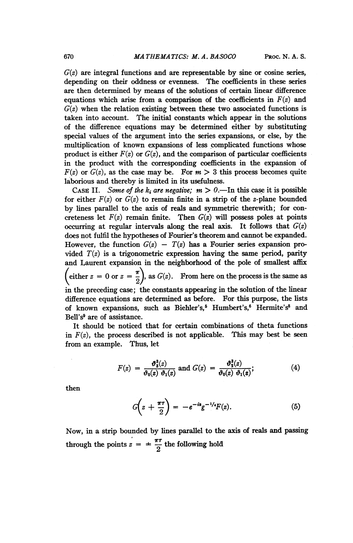$G(z)$  are integral functions and are representable by sine or cosine series, depending on their oddness or evenness. The coefficients in these series are then determined by means of the solutions of certain linear difference equations which arise from a comparison of the coefficients in  $F(z)$  and  $G(z)$  when the relation existing between these two associated functions is taken into account. The initial constants which appear in the solutions of the difference equations may be determined either by substituting special values of the argument into the series expansions, or else, by the multiplication of known expansions of less complicated functions whose product is either  $F(z)$  or  $G(z)$ , and the comparison of particular coefficients in the product with the corresponding coefficients in the expansion of  $F(z)$  or  $G(z)$ , as the case may be. For  $m > 3$  this process becomes quite laborious and thereby is limited in its usefulness.

CASE II. Some of the k<sub>i</sub> are negative;  $m > 0$ .—In this case it is possible for either  $F(z)$  or  $G(z)$  to remain finite in a strip of the z-plane bounded by lines parallel to the axis of reals and symmetric therewith; for concreteness let  $F(z)$  remain finite. Then  $G(z)$  will possess poles at points occurring at regular intervals along the real axis. It follows that  $G(z)$ does not fulfil the hypotheses of Fourier's theorem and cannot be expanded. However, the function  $G(z) - T(z)$  has a Fourier series expansion provided  $T(z)$  is a trigonometric expression having the same period, parity and Laurent expansion in the neighborhood of the pole of smallest affix (either  $z = 0$  or  $z = \frac{\pi}{2}$ ), as  $G(z)$ . From here on the process is the same as in the preceding case; the constants appearing in the solution of the linear difference equations are determined as before. For this purpose, the lists of known expansions, such as Biehler's,<sup>5</sup> Humbert's,<sup>6</sup> Hermite's<sup>8</sup> and Bell's9 are of assistance.

It should be noticed that for certain combinations of theta functions in  $F(z)$ , the process described is not applicable. This may best be seen from an example. Thus, let

$$
F(z) = \frac{\vartheta_3^3(z)}{\vartheta_0(z) \vartheta_1(z)} \text{ and } G(z) = \frac{\vartheta_2^3(z)}{\vartheta_0(z) \vartheta_1(z)};
$$
 (4)

then

$$
G\left(z+\frac{\pi\tau}{2}\right)=-e^{-is}g^{-1/2}F(z).
$$
 (5)

Now, in a strip bounded by lines parallel to the axis of reals and passing through the points  $z = \pm \frac{\pi \tau}{2}$  the following hold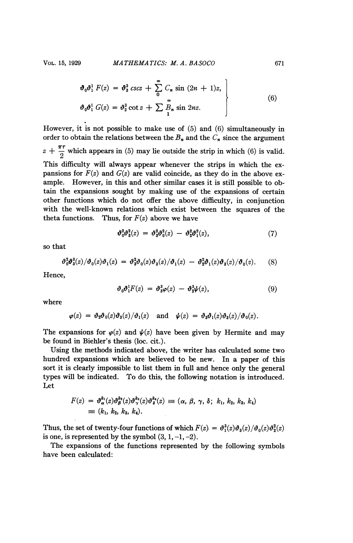$$
\boldsymbol{\vartheta}_{0} \boldsymbol{\vartheta}_{1}^{1} F(z) = \boldsymbol{\vartheta}_{3}^{3} \csc z + \sum_{0}^{\infty} C_{n} \sin (2n + 1)z,
$$
  
\n
$$
\boldsymbol{\vartheta}_{0} \boldsymbol{\vartheta}_{1}^{1} G(z) = \boldsymbol{\vartheta}_{2}^{3} \cot z + \sum_{1}^{\infty} \tilde{B}_{n} \sin 2nz.
$$
 (6)

However, it is not possible to make use of (5) and (6) simultaneously in order to obtain the relations between the  $B_n$  and the  $C_n$  since the argument  $z + \frac{\pi \tau}{2}$  which appears in (5) may lie outside the strip in which (6) is valid. This difficulty will always appear whenever the strips in which the expansions for  $F(z)$  and  $G(z)$  are valid coincide, as they do in the above example. However, in this and other similar cases it is still possible to obtain the expansions sought by making use of the expansions of certain other functions which do not offer the above difficulty, in conjunction with the well-known relations which exist between the squares of the theta functions. Thus, for  $F(z)$  above we have

$$
\boldsymbol{\vartheta}_0^2 \boldsymbol{\vartheta}_3^2(z) = \boldsymbol{\vartheta}_3^2 \boldsymbol{\vartheta}_0^2(z) - \boldsymbol{\vartheta}_2^2 \boldsymbol{\vartheta}_1^2(z), \qquad (7)
$$

so that

$$
\vartheta_0^2 \vartheta_3^3(z) / \vartheta_0(z) \vartheta_1(z) = \vartheta_3^2 \vartheta_0(z) \vartheta_3(z) / \vartheta_1(z) - \vartheta_2^2 \vartheta_1(z) \vartheta_3(z) / \vartheta_0(z).
$$
 (8)

Hence,

$$
\vartheta_0 \vartheta_1^1 F(z) = \vartheta_3^3 \varphi(z) - \vartheta_2^3 \psi(z), \qquad (9)
$$

where

$$
\varphi(z) = \vartheta_2 \vartheta_0(z) \vartheta_3(z) / \vartheta_1(z) \quad \text{and} \quad \psi(z) = \vartheta_3 \vartheta_1(z) \vartheta_3(z) / \vartheta_0(z).
$$

The expansions for  $\varphi(z)$  and  $\psi(z)$  have been given by Hermite and may be found in Biehler's thesis (loc. cit.).

Using the methods indicated above, the writer has calculated some two hundred expansions which are believed to be new. In a paper of this sort it is clearly impossible to list them in full and hence only the general types will be indicated. To do this, the following notation is introduced. Let

$$
F(z) = \vartheta_{\alpha}^{k_1}(z)\vartheta_{\beta}^{k_2}(z)\vartheta_{\gamma}^{k_3}(z)\vartheta_{\delta}^{k_4}(z) \equiv (\alpha, \beta, \gamma, \delta; k_1, k_2, k_3, k_4)
$$
  

$$
\equiv (k_1, k_2, k_3, k_4).
$$

Thus, the set of twenty-four functions of which  $F(z) = \frac{\vartheta_1^3(z)\vartheta_3(z)}{\vartheta_0(z)\vartheta_2^2(z)}$ is one, is represented by the symbol  $(3, 1, -1, -2)$ .

The expansions of the functions represented by the following symbols have been calculated: